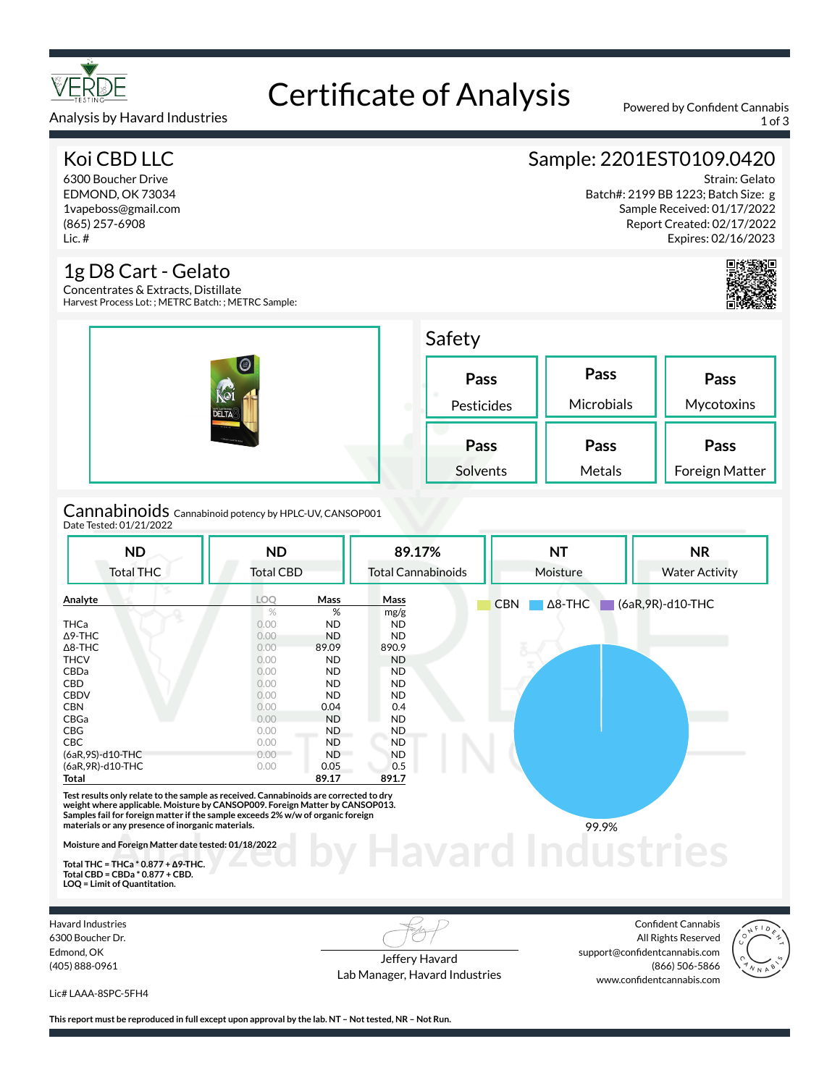

## Certificate of Analysis Powered by Confident Cannabis

Analysis by Havard Industries 1 of 3

#### Koi CBD LLC

6300 Boucher Drive EDMOND, OK 73034 1vapeboss@gmail.com (865) 257-6908 Lic. #

#### 1g D8 Cart - Gelato

Concentrates & Extracts, Distillate Harvest Process Lot: ; METRC Batch: ; METRC Sample:

| $\bigcirc$<br><b>DELTA</b> <sup>8</sup><br><b>Station</b><br><b>STATISTICS</b> | Safety             |                    |                        |  |  |
|--------------------------------------------------------------------------------|--------------------|--------------------|------------------------|--|--|
|                                                                                | Pass<br>Pesticides | Pass<br>Microbials | Pass<br>Mycotoxins     |  |  |
|                                                                                | Pass<br>Solvents   | Pass<br>Metals     | Pass<br>Foreign Matter |  |  |
| .                                                                              |                    |                    |                        |  |  |

Cannabinoids Cannabinoid potency by HPLC-UV, CANSOP001 Date Tested: 01/21/2022

| <b>ND</b>                                                                                                                                                                                                                                                                                                     | <b>ND</b>        |           | 89.17%                    | <b>NT</b>                    | <b>NR</b>             |
|---------------------------------------------------------------------------------------------------------------------------------------------------------------------------------------------------------------------------------------------------------------------------------------------------------------|------------------|-----------|---------------------------|------------------------------|-----------------------|
| <b>Total THC</b>                                                                                                                                                                                                                                                                                              | <b>Total CBD</b> |           | <b>Total Cannabinoids</b> | Moisture                     | <b>Water Activity</b> |
| Analyte                                                                                                                                                                                                                                                                                                       | <b>LOO</b>       | Mass      | Mass                      | <b>CBN</b><br>$\Delta$ 8-THC | $(6aR, 9R)$ -d10-THC  |
|                                                                                                                                                                                                                                                                                                               | $\%$             | %         | mg/g                      |                              |                       |
| <b>THCa</b>                                                                                                                                                                                                                                                                                                   | 0.00             | <b>ND</b> | <b>ND</b>                 |                              |                       |
| $\Delta$ 9-THC                                                                                                                                                                                                                                                                                                | 0.00             | <b>ND</b> | <b>ND</b>                 |                              |                       |
| $\Delta$ 8-THC                                                                                                                                                                                                                                                                                                | 0.00             | 89.09     | 890.9                     |                              |                       |
| <b>THCV</b>                                                                                                                                                                                                                                                                                                   | 0.00             | <b>ND</b> | <b>ND</b>                 |                              |                       |
| <b>CBDa</b>                                                                                                                                                                                                                                                                                                   | 0.00             | <b>ND</b> | <b>ND</b>                 |                              |                       |
| <b>CBD</b>                                                                                                                                                                                                                                                                                                    | 0.00             | <b>ND</b> | <b>ND</b>                 |                              |                       |
| <b>CBDV</b>                                                                                                                                                                                                                                                                                                   | 0.00             | <b>ND</b> | <b>ND</b>                 |                              |                       |
| <b>CBN</b>                                                                                                                                                                                                                                                                                                    | 0.00             | 0.04      | 0.4                       |                              |                       |
| CBGa                                                                                                                                                                                                                                                                                                          | 0.00             | <b>ND</b> | ND.                       |                              |                       |
| CBG                                                                                                                                                                                                                                                                                                           | 0.00             | ND.       | ND.                       |                              |                       |
| <b>CBC</b>                                                                                                                                                                                                                                                                                                    | 0.00             | <b>ND</b> | <b>ND</b>                 |                              |                       |
| (6aR, 9S)-d10-THC                                                                                                                                                                                                                                                                                             | 0.00             | <b>ND</b> | <b>ND</b>                 |                              |                       |
| (6aR, 9R)-d10-THC                                                                                                                                                                                                                                                                                             | 0.00             | 0.05      | 0.5                       |                              |                       |
| Total                                                                                                                                                                                                                                                                                                         |                  | 89.17     | 891.7                     |                              |                       |
| Test results only relate to the sample as received. Cannabinoids are corrected to dry<br>weight where applicable. Moisture by CANSOP009. Foreign Matter by CANSOP013.<br>Samples fail for foreign matter if the sample exceeds 2% w/w of organic foreign<br>materials or any presence of inorganic materials. |                  |           |                           | 99.9%                        |                       |
| Moisture and Foreign Matter date tested: 01/18/2022<br>Total THC = THCa $*$ 0.877 + $\triangle$ 9-THC.                                                                                                                                                                                                        |                  |           |                           |                              |                       |

**Total THC = THCa \* 0.877 + ∆9-THC. Total CBD = CBDa \* 0.877 + CBD. LOQ = Limit of Quantitation.**

Havard Industries 6300 Boucher Dr. Edmond, OK (405) 888-0961

Jeffery Havard Lab Manager, Havard Industries

Confident Cannabis All Rights Reserved support@confidentcannabis.com (866) 506-5866 www.confidentcannabis.com



Lic# LAAA-8SPC-5FH4

**This report must be reproduced in full except upon approval by the lab. NT – Not tested, NR – Not Run.**

### Sample: 2201EST0109.0420

Strain: Gelato Batch#: 2199 BB 1223; Batch Size: g Sample Received: 01/17/2022 Report Created: 02/17/2022 Expires: 02/16/2023